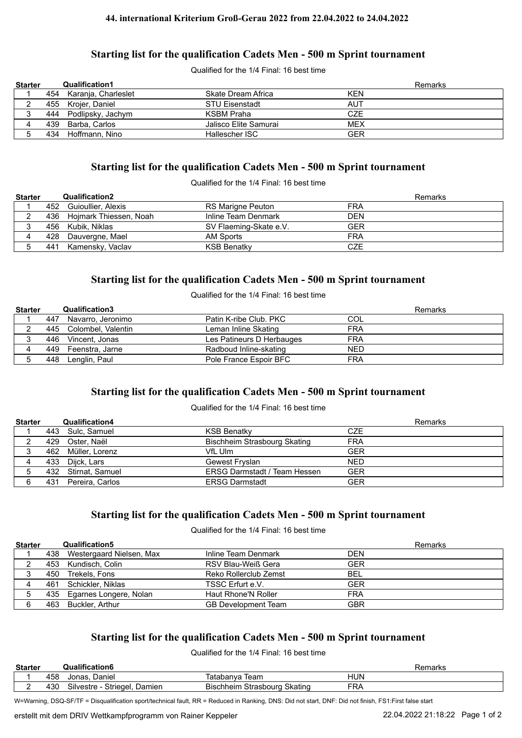#### **44. international Kriterium Groß-Gerau 2022 from 22.04.2022 to 24.04.2022**

# **Starting list for the qualification Cadets Men - 500 m Sprint tournament**

Qualified for the 1/4 Final: 16 best time

| <b>Starter</b> | <b>Qualification1</b>   |                       | Remarks    |
|----------------|-------------------------|-----------------------|------------|
|                | 454 Karanja, Charleslet | Skate Dream Africa    | <b>KEN</b> |
|                | 455 Krojer, Daniel      | <b>STU Eisenstadt</b> | AUT        |
|                | 444 Podlipsky, Jachym   | KSBM Praha            | <b>CZE</b> |
|                | 439 Barba, Carlos       | Jalisco Elite Samurai | <b>MEX</b> |
|                | 434 Hoffmann, Nino      | Hallescher ISC        | GER        |

## **Starting list for the qualification Cadets Men - 500 m Sprint tournament**

Qualified for the 1/4 Final: 16 best time

| <b>Starter</b> |     | <b>Qualification2</b>      |                          | Remarks    |
|----------------|-----|----------------------------|--------------------------|------------|
|                |     | 452 Guioullier, Alexis     | <b>RS Marigne Peuton</b> | <b>FRA</b> |
|                |     | 436 Hojmark Thiessen, Noah | Inline Team Denmark      | <b>DEN</b> |
|                |     | 456 Kubik, Niklas          | SV Flaeming-Skate e.V.   | <b>GER</b> |
|                |     | 428 Dauvergne, Mael        | AM Sports                | <b>FRA</b> |
|                | 441 | Kamensky, Vaclav           | <b>KSB Benatky</b>       | CZE        |

# **Starting list for the qualification Cadets Men - 500 m Sprint tournament**

Qualified for the 1/4 Final: 16 best time

| <b>Starter</b> |     | <b>Qualification3</b>  |                           | Remarks    |
|----------------|-----|------------------------|---------------------------|------------|
|                | 447 | Navarro, Jeronimo      | Patin K-ribe Club, PKC    | COL        |
|                |     | 445 Colombel, Valentin | Leman Inline Skating      | <b>FRA</b> |
|                |     | 446 Vincent, Jonas     | Les Patineurs D Herbauges | <b>FRA</b> |
|                |     | 449 Feenstra, Jarne    | Radboud Inline-skating    | <b>NED</b> |
|                |     | 448 Lenglin, Paul      | Pole France Espoir BFC    | <b>FRA</b> |

# **Starting list for the qualification Cadets Men - 500 m Sprint tournament**

#### Qualified for the 1/4 Final: 16 best time

| <b>Starter</b> | <b>Qualification4</b> |                                     | Remarks    |
|----------------|-----------------------|-------------------------------------|------------|
|                | 443 Sulc. Samuel      | <b>KSB Benatky</b>                  | CZE        |
|                | 429 Oster, Naël       | Bischheim Strasbourg Skating        | <b>FRA</b> |
|                | 462 Müller, Lorenz    | VfL Ulm                             | <b>GER</b> |
|                | 433 Dijck, Lars       | Gewest Fryslan                      | <b>NED</b> |
|                | 432 Stirnat, Samuel   | <b>ERSG Darmstadt / Team Hessen</b> | <b>GER</b> |
|                | 431 Pereira, Carlos   | <b>ERSG Darmstadt</b>               | <b>GER</b> |

## **Starting list for the qualification Cadets Men - 500 m Sprint tournament**

#### Qualified for the 1/4 Final: 16 best time

| <b>Starter</b> | <b>Qualification5</b>        |                            | Remarks    |
|----------------|------------------------------|----------------------------|------------|
|                | 438 Westergaard Nielsen, Max | Inline Team Denmark        | DEN        |
|                | 453 Kundisch, Colin          | RSV Blau-Weiß Gera         | <b>GER</b> |
|                | 450 Trekels, Fons            | Reko Rollerclub Zemst      | BEL        |
|                | 461 Schickler, Niklas        | TSSC Erfurt e.V.           | GER        |
|                | 435 Egarnes Longere, Nolan   | Haut Rhone'N Roller        | <b>FRA</b> |
|                | 463 Buckler, Arthur          | <b>GB Development Team</b> | <b>GBR</b> |

## **Starting list for the qualification Cadets Men - 500 m Sprint tournament**

Qualified for the 1/4 Final: 16 best time

| <b>Starter</b> |     | <b>Qualification6</b>           |                                    | Remarks    |
|----------------|-----|---------------------------------|------------------------------------|------------|
|                | 45ბ | Daniel<br>Jonas.                | leam<br>Iatabanva                  | <b>HUN</b> |
|                | 430 | Silvestre - Striegel,<br>Damien | Strasbourg<br>Skatino<br>Bischheim | FRA        |

W=Warning, DSQ-SF/TF = Disqualification sport/technical fault, RR = Reduced in Ranking, DNS: Did not start, DNF: Did not finish, FS1:First false start